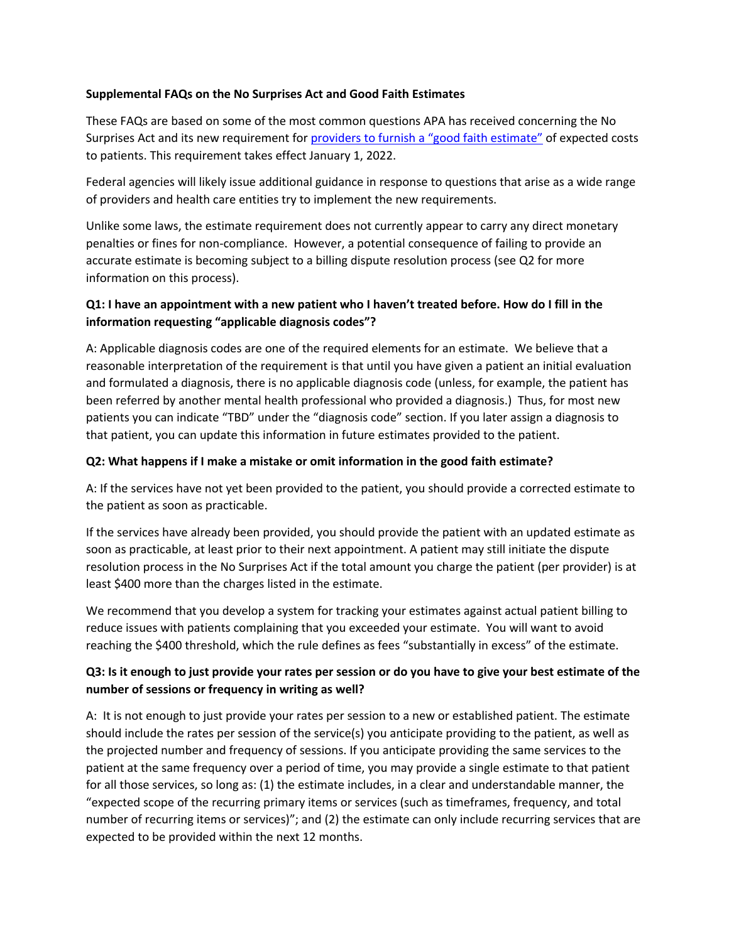### **Supplemental FAQs on the No Surprises Act and Good Faith Estimates**

These FAQs are based on some of the most common questions APA has received concerning the No Surprises Act and its new requirement for providers to furnish a "good faith estimate" of expected costs to patients. This requirement takes effect January 1, 2022.

Federal agencies will likely issue additional guidance in response to questions that arise as a wide range of providers and health care entities try to implement the new requirements.

Unlike some laws, the estimate requirement does not currently appear to carry any direct monetary penalties or fines for non-compliance. However, a potential consequence of failing to provide an accurate estimate is becoming subject to a billing dispute resolution process (see Q2 for more information on this process).

# **Q1: I have an appointment with a new patient who I haven't treated before. How do I fill in the information requesting "applicable diagnosis codes"?**

A: Applicable diagnosis codes are one of the required elements for an estimate. We believe that a reasonable interpretation of the requirement is that until you have given a patient an initial evaluation and formulated a diagnosis, there is no applicable diagnosis code (unless, for example, the patient has been referred by another mental health professional who provided a diagnosis.) Thus, for most new patients you can indicate "TBD" under the "diagnosis code" section. If you later assign a diagnosis to that patient, you can update this information in future estimates provided to the patient.

## **Q2: What happens if I make a mistake or omit information in the good faith estimate?**

A: If the services have not yet been provided to the patient, you should provide a corrected estimate to the patient as soon as practicable.

If the services have already been provided, you should provide the patient with an updated estimate as soon as practicable, at least prior to their next appointment. A patient may still initiate the dispute resolution process in the No Surprises Act if the total amount you charge the patient (per provider) is at least \$400 more than the charges listed in the estimate.

We recommend that you develop a system for tracking your estimates against actual patient billing to reduce issues with patients complaining that you exceeded your estimate. You will want to avoid reaching the \$400 threshold, which the rule defines as fees "substantially in excess" of the estimate.

## **Q3: Is it enough to just provide your rates per session or do you have to give your best estimate of the number of sessions or frequency in writing as well?**

A: It is not enough to just provide your rates per session to a new or established patient. The estimate should include the rates per session of the service(s) you anticipate providing to the patient, as well as the projected number and frequency of sessions. If you anticipate providing the same services to the patient at the same frequency over a period of time, you may provide a single estimate to that patient for all those services, so long as: (1) the estimate includes, in a clear and understandable manner, the "expected scope of the recurring primary items or services (such as timeframes, frequency, and total number of recurring items or services)"; and (2) the estimate can only include recurring services that are expected to be provided within the next 12 months.